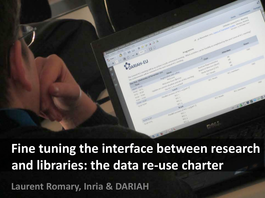

#### **Fine tuning the interface between research and libraries: the data re-use charter**

 **Laurent Romary, Inria & DARIAH**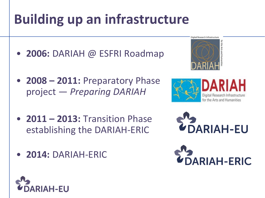# **Building up an infrastructure**

- **2006:** DARIAH @ ESFRI Roadmap
- **2008 – 2011:** Preparatory Phase project — *Preparing DARIAH*
- **2011 – 2013:** Transition Phase establishing the DARIAH-ERIC
- **2014:** DARIAH-ERIC



Digital Research Infrastructure







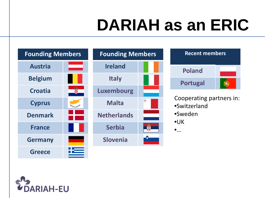# **DARIAH as an ERIC**



| <b>Recent members</b> |  |
|-----------------------|--|
| <b>Poland</b>         |  |
| <b>Portugal</b>       |  |

Cooperating partners in:

- •Switzerland
- •Sweden
- •UK

 $\bullet$ …

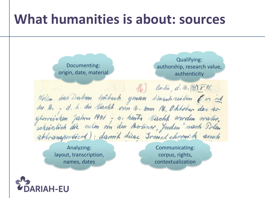#### **What humanities is about: sources**

Qualifying: Documenting: authorship, research value, origin, date, material authenticity  $16)$  Boston, d. 16.  $(\frac{1}{2})$  F.H. Wollen das Datm mibsch ginan hinsch reiben Ees ind<br>der 16. - d. h. die Nacht vom 16. 2mm 14. Ohtoben des so

> Analyzing: layout, transcription, names, dates

Communicating: corpus, rights, contextualization

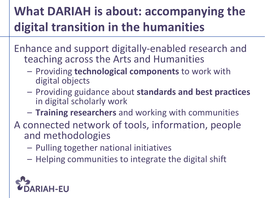#### **What DARIAH is about: accompanying the digital transition in the humanities**

Enhance and support digitally-enabled research and teaching across the Arts and Humanities

- Providing **technological components** to work with digital objects
- Providing guidance about **standards and best practices**  in digital scholarly work
- **Training researchers** and working with communities
- A connected network of tools, information, people and methodologies
	- Pulling together national initiatives
	- Helping communities to integrate the digital shift

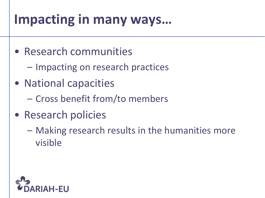#### **Impacting in many ways…**

- Research communities
	- Impacting on research practices
- National capacities
	- Cross benefit from/to members
- Research policies
	- Making research results in the humanities more visible

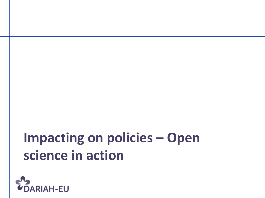#### **Impacting on policies – Open science in action**

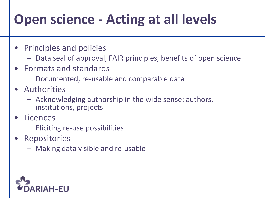#### **Open science - Acting at all levels**

- Principles and policies
	- Data seal of approval, FAIR principles, benefits of open science
- Formats and standards
	- Documented, re-usable and comparable data
- Authorities
	- Acknowledging authorship in the wide sense: authors, institutions, projects
- Licences
	- Eliciting re-use possibilities
- Repositories
	- Making data visible and re-usable

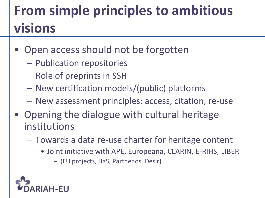## **From simple principles to ambitious visions**

- Open access should not be forgotten
	- Publication repositories
	- Role of preprints in SSH
	- New certification models/(public) platforms
	- New assessment principles: access, citation, re-use
- Opening the dialogue with cultural heritage institutions
	- Towards a data re-use charter for heritage content
		- Joint initiative with APE, Europeana, CLARIN, E-RIHS, LIBER – (EU projects, HaS, Parthenos, Désir)

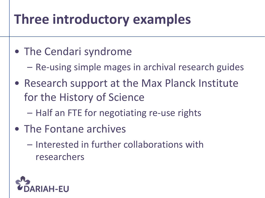#### **Three introductory examples**

- The Cendari syndrome
	- Re-using simple mages in archival research guides
- Research support at the Max Planck Institute for the History of Science
	- Half an FTE for negotiating re-use rights
- The Fontane archives
	- Interested in further collaborations with researchers

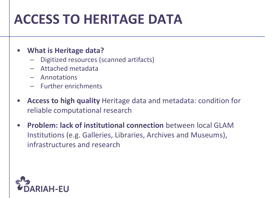#### **ACCESS TO HERITAGE DATA**

#### • **What is Heritage data?**

- Digitized resources (scanned artifacts)
- Attached metadata
- Annotations
- Further enrichments
- **Access to high quality** Heritage data and metadata: condition for reliable computational research
- **Problem: lack of institutional connection** between local GLAM Institutions (e.g. Galleries, Libraries, Archives and Museums), infrastructures and research

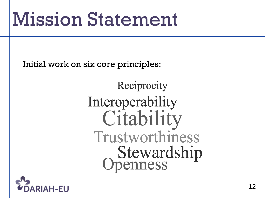# Mission Statement

Initial work on six core principles:

Reciprocity Interoperability Citability Trustworthiness **Stewardship**<br>Openness

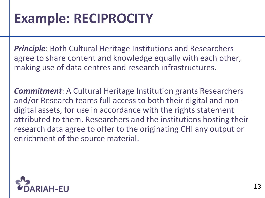#### **Example: RECIPROCITY**

*Principle*: Both Cultural Heritage Institutions and Researchers agree to share content and knowledge equally with each other, making use of data centres and research infrastructures.

*Commitment*: A Cultural Heritage Institution grants Researchers and/or Research teams full access to both their digital and nondigital assets, for use in accordance with the rights statement attributed to them. Researchers and the institutions hosting their research data agree to offer to the originating CHI any output or enrichment of the source material.

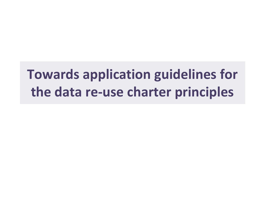#### **Towards application guidelines for the data re-use charter principles**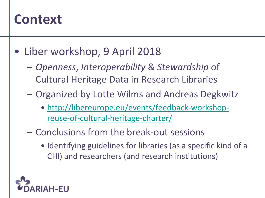#### **Context**

- Liber workshop, 9 April 2018
	- *Openness*, *Interoperability* & *Stewardship* of Cultural Heritage Data in Research Libraries
	- Organized by Lotte Wilms and Andreas Degkwitz
		- [http://libereurope.eu/events/feedback-workshop](http://libereurope.eu/events/feedback-workshop-reuse-of-cultural-heritage-charter/)[reuse-of-cultural-heritage-charter/](http://libereurope.eu/events/feedback-workshop-reuse-of-cultural-heritage-charter/)
	- Conclusions from the break-out sessions
		- Identifying guidelines for libraries (as a specific kind of a CHI) and researchers (and research institutions)

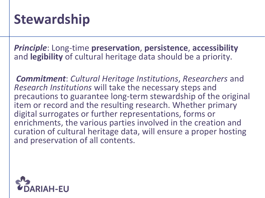#### **Stewardship**

*Principle*: Long-time **preservation**, **persistence**, **accessibility** and **legibility** of cultural heritage data should be a priority.

*Commitment*: *Cultural Heritage Institutions*, *Researchers* and *Research Institutions* will take the necessary steps and precautions to guarantee long-term stewardship of the original item or record and the resulting research. Whether primary digital surrogates or further representations, forms or enrichments, the various parties involved in the creation and curation of cultural heritage data, will ensure a proper hosting and preservation of all contents.

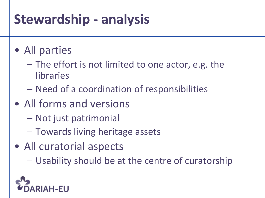#### **Stewardship - analysis**

#### • All parties

- The effort is not limited to one actor, e.g. the libraries
- Need of a coordination of responsibilities
- All forms and versions
	- Not just patrimonial
	- Towards living heritage assets
- All curatorial aspects
	- Usability should be at the centre of curatorship

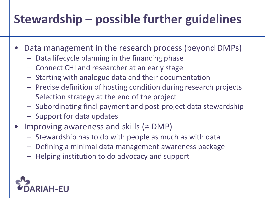#### **Stewardship – possible further guidelines**

- Data management in the research process (beyond DMPs)
	- Data lifecycle planning in the financing phase
	- Connect CHI and researcher at an early stage
	- Starting with analogue data and their documentation
	- Precise definition of hosting condition during research projects
	- Selection strategy at the end of the project
	- Subordinating final payment and post-project data stewardship
	- Support for data updates
- Improving awareness and skills (≠ DMP)
	- Stewardship has to do with people as much as with data
	- Defining a minimal data management awareness package
	- Helping institution to do advocacy and support

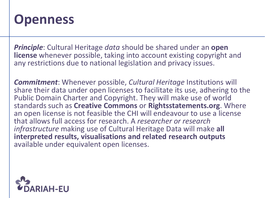#### **Openness**

*Principle*: Cultural Heritage *data* should be shared under an **open license** whenever possible, taking into account existing copyright and any restrictions due to national legislation and privacy issues.

*Commitment:* Whenever possible, *Cultural Heritage* Institutions will share their data under open licenses to facilitate its use, adhering to the Public Domain Charter and Copyright. They will make use of world standards such as **Creative Commons** or **Rightsstatements.org**. Where an open license is not feasible the CHI will endeavour to use a license that allows full access for research. A *researcher or research infrastructure* making use of Cultural Heritage Data will make **all interpreted results, visualisations and related research outputs**  available under equivalent open licenses.

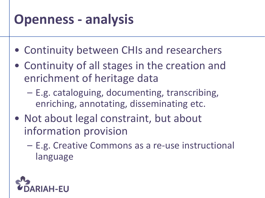#### **Openness - analysis**

- Continuity between CHIs and researchers
- Continuity of all stages in the creation and enrichment of heritage data
	- E.g. cataloguing, documenting, transcribing, enriching, annotating, disseminating etc.
- Not about legal constraint, but about information provision
	- E.g. Creative Commons as a re-use instructional language

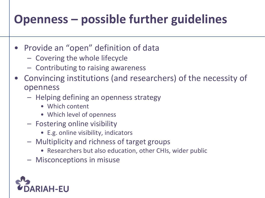#### **Openness – possible further guidelines**

- Provide an "open" definition of data
	- Covering the whole lifecycle
	- Contributing to raising awareness
- Convincing institutions (and researchers) of the necessity of openness
	- Helping defining an openness strategy
		- Which content
		- Which level of openness
	- Fostering online visibility
		- E.g. online visibility, indicators
	- Multiplicity and richness of target groups
		- Researchers but also education, other CHIs, wider public
	- Misconceptions in misuse

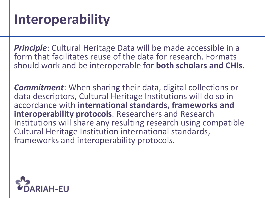*Principle*: Cultural Heritage Data will be made accessible in a form that facilitates reuse of the data for research. Formats should work and be interoperable for **both scholars and CHIs**.

*Commitment*: When sharing their data, digital collections or data descriptors, Cultural Heritage Institutions will do so in accordance with **international standards, frameworks and interoperability protocols**. Researchers and Research Institutions will share any resulting research using compatible Cultural Heritage Institution international standards, frameworks and interoperability protocols.

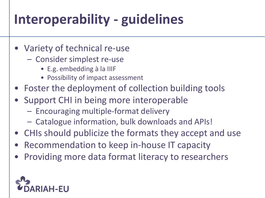## **Interoperability - guidelines**

- Variety of technical re-use
	- Consider simplest re-use
		- E.g. embedding à la IIIF
		- Possibility of impact assessment
- Foster the deployment of collection building tools
- Support CHI in being more interoperable
	- Encouraging multiple-format delivery
	- Catalogue information, bulk downloads and APIs!
- CHIs should publicize the formats they accept and use
- Recommendation to keep in-house IT capacity
- Providing more data format literacy to researchers

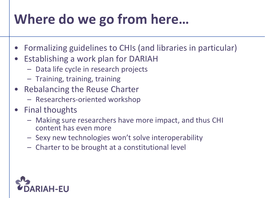## **Where do we go from here…**

- Formalizing guidelines to CHIs (and libraries in particular)
- Establishing a work plan for DARIAH
	- Data life cycle in research projects
	- Training, training, training
- Rebalancing the Reuse Charter
	- Researchers-oriented workshop
- Final thoughts
	- Making sure researchers have more impact, and thus CHI content has even more
	- Sexy new technologies won't solve interoperability
	- Charter to be brought at a constitutional level